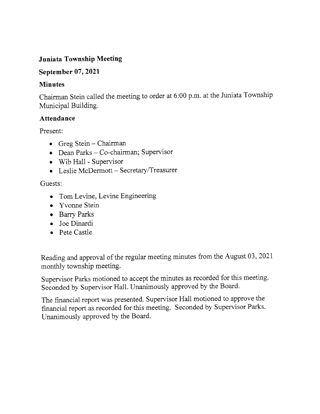### Juniata Township Meeting

#### September 07, 2021

#### Minutes

Chairman Stein called the meeting to order at 6:00 p.m. at the Juniata Township Municipal Building.

#### Attendance

Present:

- o Greg Stein Chairman
- o Dean Parks Co-chairman; Supervisor
- . Wib HalI Supervisor
- o Leslie McDermott Secretary/Treasurer

#### Guests:

- Tom Levine, Levine Engineering
- Yvonne Stein
- Barry Parks
- . Joe Dinardi
- o Pete Castle

Reading and approval of the regular meeting minutes from the August 03, 2021 monthiy township meeting.

Supervisor Parks motioned to accept the minutes as recorded for this meeting. Seconded by Supervisor Hall. Unanimously approved by the Board.

The financial report was presented. Supervisor Hall motioned to approve the financial report as recorded for this meeting. Seconded by Supervisor Parks. Unanimously approved by the Board.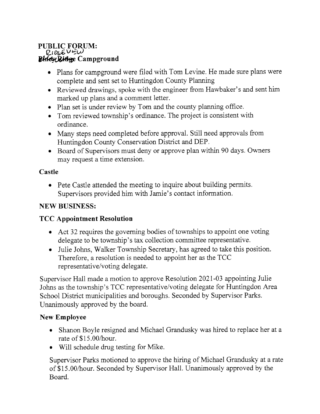#### PUBLIC FORUM: RIDGE VEW Dinex Ridge Campground

- . Plans for campground were filed with Tom tevine. He made sure plans were complete and sent set to Huntingdon County Planning
- . Reviewed drawings, spoke with the engineer from Hawbaker's and sent him marked up plans and a comment letter.
- o Plan set is under review by Tom and the county planning office.
- . Tom reviewed township's ordinance" The project is consistent with ordinance.
- Many steps need completed before approval. Still need approvals from Huntingdon County Conservation District and DEP.
- . Board of Supervisors must deny or approve plan within 90 days. Owners may request a time extension.

# Castle

o Pete Castle attended the meeting to inquire about building permits. Supervisors provided him with Jamie's contact information.

# NEW BUSINESS:

# TCC Appointment Resolution

- Act 32 requires the governing bodies of townships to appoint one voting delegate to be township's tax collection committee representative.
- . Julie Johns, Walker Township Secretary, has agreed to take this position. Therefore, a resolution is needed to appoint her as the TCC representative/voting delegate.

Supervisor Hall made a motion to approve Resolution202l-03 appointing Juiie Johns as the township's TCC representative/voting delegate for Huntingdon Area School District municipalities and boroughs. Seconded by Supervisor Parks. Unanimously approved by the board.

### New Employee

- e Shanon Boyle resigned and Michael Grandusky was hired to replace her at <sup>a</sup> rate of \$15.O0/hour.
- o Will schedule drug testing for Mike.

Supervisor Parks motioned to approve the hiring of Michael Grandusky at a rate of S15.0O/hour. Seconded by Supervisor Hall. Unanimously approved by the Board.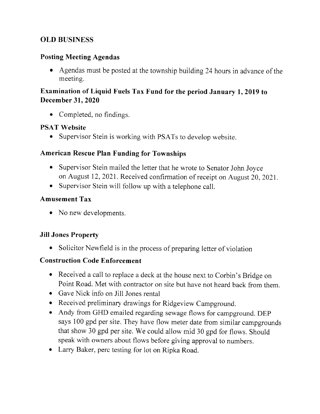# OLD BUSINESS

### Posting Meeting Agendas

o Agendas must be posted at the township building 24 hours in advance of the meeting.

# Examination of Liquid Fuels Tax Fund for the period January 1,2019 to December 31, 2020

• Completed, no findings.

### PSAT Website

• Supervisor Stein is working with PSATs to develop website.

### American Rescue Plan Funding for Townships

- o Supervisor Stein mailed the letter that he wrote to Senator John Joyce on August 12, 2021. Received confirmation of receipt on August 20, 2021.
- o Supervisor Stein will follow up with a telephone call.

### Amusement Tax

• No new developments.

### Jill Jones Property

• Solicitor Newfield is in the process of preparing letter of violation

### Construction Code Enforcement

- o Received a call to replace a deck at the house next to Corbin's Bridge on Point Road. Met with contractor on site but have not heard back from them.
- . Gave Nick info on Jill Jones rental
- o Received preliminary drawings for Ridgeview Campground.
- . Andy from GHD emailed regarding sewage flows for campground. DEP says 100 gpd per site. They have flow meter date from similar campgrounds that show 30 gpd per site. We could allow mid 30 gpd for flows. Should speak with owners about flows before giving approval to numbers.
- Larry Baker, perc testing for lot on Ripka Road.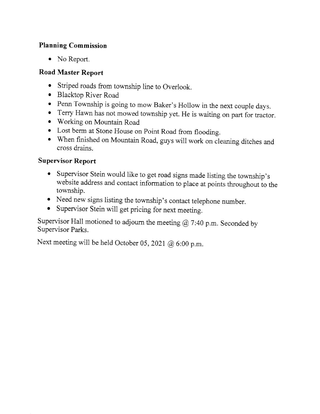# Planning Commission

• No Report.

# Road Master Report

- Striped roads from township line to Overlook.
- . Blacktop River Road
- 
- Penn Township is going to mow Baker's Hollow in the next couple days.<br>• Terry Hawn has not mowed township yet. He is waiting on part for tractor.
- Working on Mountain Road
- o Lost berm at Stone House on point Road from flooding.
- o When finished on Mountain Road, guys will work on cleaning ditches and cross drains.

# Supervisor Report

- Supervisor Stein would like to get road signs made listing the township's website address and contact information to place at points throughout to the township.
- o Need new signs listing the township's contact telephone number.
- Supervisor Stein will get pricing for next meeting.

Supervisor Hall motioned to adjourn the meeting  $@$  7:40 p.m. Seconded by Supervisor Parks.

Next meeting will be held October 05, 2021 @ 6:00 p.m.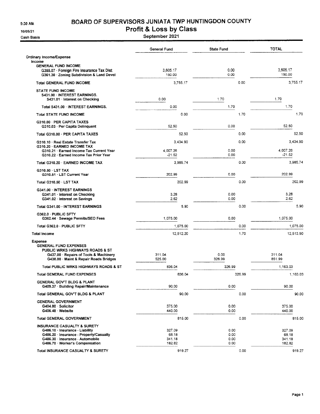9:30 AM

10/05/21

Cash Basis

#### BOARD OF SUPERVISORS JUNIATA TWP HUNTINGDON COUNTY

#### Profit & Loss by Class

September 2021

|                                                                                                                                                                                         | General Fund                        | <b>State Fund</b>            |        | <b>TOTAL</b>                        |
|-----------------------------------------------------------------------------------------------------------------------------------------------------------------------------------------|-------------------------------------|------------------------------|--------|-------------------------------------|
| Ordinary Income/Expense<br>income                                                                                                                                                       |                                     |                              |        |                                     |
| <b>GENERAL FUND INCOME</b><br>G355.07 · Foreign Fire Insurance Tax Dist<br>G361.30 Zoning Subdivision & Land Devel                                                                      | 3,605.17<br>150.00                  | 0.00<br>0.00                 |        | 3,605.17<br>150.00                  |
| <b>Total GENERAL FUND INCOME</b>                                                                                                                                                        | 3,755.17                            |                              | 0.00   | 3,755.17                            |
| <b>STATE FUND INCOME</b><br>S431.00 · INTEREST EARNINGS.<br>S431.01 Interest on Checking                                                                                                | 0.00                                | 1.70                         |        | 1.70                                |
| Total S431.00 INTEREST EARNINGS.                                                                                                                                                        | 0.00                                | 1.70                         |        | 1.70                                |
| <b>Total STATE FUND INCOME</b>                                                                                                                                                          | 0.00                                |                              | 1.70   | 1.70                                |
| G310.00 PER CAPITA TAXES<br>G310.03 · Per Capita Delinquent                                                                                                                             | 52.50                               | 0.00                         |        | 52.50                               |
| Total G310.00 · PER CAPITA TAXES                                                                                                                                                        | 52.50                               |                              | 0.00   | 52.50                               |
| G310.10 · Real Estate Transfer Tax<br>G310.20 - EARNED INCOME TAX                                                                                                                       | 3.434.90                            |                              | 0.00   | 3,434.90                            |
| G310.21 · Earned Income Tax Current Year<br>G310.22 · Earned Income Tax Prior Year                                                                                                      | 4,007.26<br>$-21.52$                | 0.00<br>0.00                 |        | 4,007.26<br>$-21.52$                |
| Total G310.20 · EARNED INCOME TAX                                                                                                                                                       | 3,985.74                            |                              | 0.00   | 3,985.74                            |
| G310.50 LST TAX<br>G310.51 · LST Current Year                                                                                                                                           | 202.99                              | 0.00                         |        | 202.99                              |
| Total G310.50 LST TAX                                                                                                                                                                   | 202.99                              |                              | 0.00   | 202.99                              |
| G341.00 INTEREST EARNINGS<br>G341.01 · Interest on Checking<br>G341.02 Interest on Savings                                                                                              | 3.28<br>2.62                        | 0.00<br>0.00                 |        | 3.28<br>2.62                        |
| Total G341.00 INTEREST EARNINGS                                                                                                                                                         | 5.90                                |                              | 0.00   | 5.90                                |
| G362.0 · PUBLIC SFTY<br>G362.44 · Sewage Permits/SEO Fees                                                                                                                               | 1,075.00                            | 0.00                         |        | 1,075.00                            |
| Total G362.0 PUBLIC SFTY                                                                                                                                                                | 1,075.00                            |                              | 0.00   | 1,075.00                            |
| <b>Total Income</b>                                                                                                                                                                     | 12,512.20                           |                              | 1.70   | 12,513.90                           |
| <b>Expense</b><br><b>GENERAL FUND EXPENSES</b><br>PUBLIC WRKS HIGHWAYS ROADS & ST<br>G437.00 · Repairs of Tools & Machinery                                                             | 311.04                              | 0.00                         |        | 311.04                              |
| G438.00 · Maint & Repair Roads Bridges                                                                                                                                                  | 525.00                              | 326.99                       |        | 851.99                              |
| Total PUBLIC WRKS HIGHWAYS ROADS & ST                                                                                                                                                   | 836.04<br>836.04                    | 326.99                       |        | 1,163.03<br>1.163.03                |
| <b>Total GENERAL FUND EXPENSES</b><br>GENERAL GOV'T BLDG & PLANT                                                                                                                        | 90.00                               | 0.00                         | 326.99 | 90.00                               |
| G409.37 · Building Repair/Maintenance<br>Total GENERAL GOV'T BLDG & PLANT                                                                                                               | 90.00                               |                              | 0.00   | 90.00                               |
| <b>GENERAL GOVERNMENT</b>                                                                                                                                                               |                                     |                              |        |                                     |
| G404.00 Solicitor<br>G406.48 Website                                                                                                                                                    | 375.00<br>440.00                    | 0.00<br>0.00                 |        | 375.00<br>440.00                    |
| <b>Total GENERAL GOVERNMENT</b>                                                                                                                                                         | 815.00                              |                              | 0.00   | 815,00                              |
| <b>INSURANCE CASUALTY &amp; SURETY</b><br>G486.10 · Insurance - Liability<br>G486.20 · Insurance - Property/Casualty<br>G486.30 Insurance - Automobile<br>G486.70 Worker's Compensation | 327.09<br>68.18<br>341.18<br>182.82 | 0.00<br>0.00<br>0.00<br>0.00 |        | 327.09<br>68.18<br>341.18<br>182.82 |
| Total INSURANCE CASUALTY & SURETY                                                                                                                                                       | 919.27                              |                              | 0.00   | 919.27                              |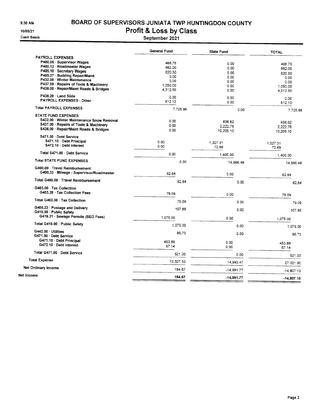$9:30$  AM

10/05/21

**Cash Basis** 

# BOARD OF SUPERVISORS JUNIATA TWP HUNTINGDON COUNTY

Profit & Loss by Class<br>September 2021

| <b>PAYROLL EXPENSES</b><br>P400.05 · Supervisor Wages<br>468.75<br>0.00<br>468.75<br>P400.12 · Roadmaster Wages<br>662.00<br>0.00<br>662.00<br>P405.10 Secretary Wages<br>620.50<br>0.00<br>620.50<br>P409.37 · Building Repair/Maint<br>0.00<br>0.00<br>0.00<br>P432.00 Winter Maintenance<br>0.00<br>0.00<br>0.00<br>P437.00 · Repairs of Tools & Machinery<br>1,050.00<br>0.00<br>1,050.00<br>P438.00 · Repair/Maint Roads & Bridges<br>4,312.50<br>0.00<br>4,312.50<br>P438.20 Land Slide<br>0.00<br>0.00<br>0.00<br><b>PAYROLL EXPENSES - Other</b><br>612.13<br>0.00<br>612.13<br><b>Total PAYROLL EXPENSES</b><br>7.725.88<br>0.00<br>7.725.88<br><b>STATE FUND EXPENSES</b><br>S432.00 · Winter Maintenance Snow Removal<br>0.00<br>838.62<br>838.62<br>S437.00 · Repairs of Tools & Machinery<br>0.00<br>2,222.76<br>2.222.76<br>S438.00 · Repair/Maint Roads & Bridges<br>0.00<br>10,205.10<br>10,205.10<br>S471.00 Debt Service<br>S471.10 Debt Principal<br>0.00<br>1,327.31<br>1,327.31<br>S472.10 Debt interest<br>0.00<br>72.69<br>72.69<br>Total S471.00 · Debt Service<br>0.00<br>1,400.00<br>1,400.00<br><b>Total STATE FUND EXPENSES</b><br>0.00<br>14,666.48<br>14.666.48<br>G400.00 Travel Reimbursement<br>G400.33 · Mileage - Supervisor/Roadmaster<br>62.64<br>0.00<br>62.64<br>Total G400.00 Travel Reimbursement<br>62.64<br>0.00<br>62.64<br>G403.00 Tax Collection<br>G403.28 · Tax Collection Fees<br>79.09<br>0.00<br>79.09<br>Total G403.00 Tax Collection<br>79.09<br>0.00<br>79.09<br>G405.23 · Postage and Delivery<br>107.85<br>0.00<br>107.85<br>G410.00 - Public Safety<br>G419.31 · Sewage Permits (SEO Fees)<br>1,075.00<br>0.00<br>1,075.00<br>Total G410.00 · Public Safety<br>1.075.00<br>0.00<br>1.075.00<br>G442.00 · Utilities<br>95.73<br>0.00<br>95.73<br>G471.00 · Debt Service<br>G471.10 · Debt Principal<br>453.89<br>0.00<br>453.89<br>G472.10 Debt Interest<br>67.14<br>0.00<br>67.14<br>Total G471.00 · Debt Service<br>521.03<br>0.00<br>521.03<br><b>Total Expense</b><br>12,327.53<br>14,993.47<br>27.321.00<br>Net Ordinary Income<br>184.67<br>-14,991.77<br>$-14,807.10$<br>Net income<br>184.67<br>$-14,991.77$<br>$-14.807.10$ | General Fund | <b>State Fund</b> | <b>TOTAL</b> |
|----------------------------------------------------------------------------------------------------------------------------------------------------------------------------------------------------------------------------------------------------------------------------------------------------------------------------------------------------------------------------------------------------------------------------------------------------------------------------------------------------------------------------------------------------------------------------------------------------------------------------------------------------------------------------------------------------------------------------------------------------------------------------------------------------------------------------------------------------------------------------------------------------------------------------------------------------------------------------------------------------------------------------------------------------------------------------------------------------------------------------------------------------------------------------------------------------------------------------------------------------------------------------------------------------------------------------------------------------------------------------------------------------------------------------------------------------------------------------------------------------------------------------------------------------------------------------------------------------------------------------------------------------------------------------------------------------------------------------------------------------------------------------------------------------------------------------------------------------------------------------------------------------------------------------------------------------------------------------------------------------------------------------------------------------------------------------------------------------------------------------------------------------------------------------------------------|--------------|-------------------|--------------|
|                                                                                                                                                                                                                                                                                                                                                                                                                                                                                                                                                                                                                                                                                                                                                                                                                                                                                                                                                                                                                                                                                                                                                                                                                                                                                                                                                                                                                                                                                                                                                                                                                                                                                                                                                                                                                                                                                                                                                                                                                                                                                                                                                                                              |              |                   |              |
|                                                                                                                                                                                                                                                                                                                                                                                                                                                                                                                                                                                                                                                                                                                                                                                                                                                                                                                                                                                                                                                                                                                                                                                                                                                                                                                                                                                                                                                                                                                                                                                                                                                                                                                                                                                                                                                                                                                                                                                                                                                                                                                                                                                              |              |                   |              |
|                                                                                                                                                                                                                                                                                                                                                                                                                                                                                                                                                                                                                                                                                                                                                                                                                                                                                                                                                                                                                                                                                                                                                                                                                                                                                                                                                                                                                                                                                                                                                                                                                                                                                                                                                                                                                                                                                                                                                                                                                                                                                                                                                                                              |              |                   |              |
|                                                                                                                                                                                                                                                                                                                                                                                                                                                                                                                                                                                                                                                                                                                                                                                                                                                                                                                                                                                                                                                                                                                                                                                                                                                                                                                                                                                                                                                                                                                                                                                                                                                                                                                                                                                                                                                                                                                                                                                                                                                                                                                                                                                              |              |                   |              |
|                                                                                                                                                                                                                                                                                                                                                                                                                                                                                                                                                                                                                                                                                                                                                                                                                                                                                                                                                                                                                                                                                                                                                                                                                                                                                                                                                                                                                                                                                                                                                                                                                                                                                                                                                                                                                                                                                                                                                                                                                                                                                                                                                                                              |              |                   |              |
|                                                                                                                                                                                                                                                                                                                                                                                                                                                                                                                                                                                                                                                                                                                                                                                                                                                                                                                                                                                                                                                                                                                                                                                                                                                                                                                                                                                                                                                                                                                                                                                                                                                                                                                                                                                                                                                                                                                                                                                                                                                                                                                                                                                              |              |                   |              |
|                                                                                                                                                                                                                                                                                                                                                                                                                                                                                                                                                                                                                                                                                                                                                                                                                                                                                                                                                                                                                                                                                                                                                                                                                                                                                                                                                                                                                                                                                                                                                                                                                                                                                                                                                                                                                                                                                                                                                                                                                                                                                                                                                                                              |              |                   |              |
|                                                                                                                                                                                                                                                                                                                                                                                                                                                                                                                                                                                                                                                                                                                                                                                                                                                                                                                                                                                                                                                                                                                                                                                                                                                                                                                                                                                                                                                                                                                                                                                                                                                                                                                                                                                                                                                                                                                                                                                                                                                                                                                                                                                              |              |                   |              |
|                                                                                                                                                                                                                                                                                                                                                                                                                                                                                                                                                                                                                                                                                                                                                                                                                                                                                                                                                                                                                                                                                                                                                                                                                                                                                                                                                                                                                                                                                                                                                                                                                                                                                                                                                                                                                                                                                                                                                                                                                                                                                                                                                                                              |              |                   |              |
|                                                                                                                                                                                                                                                                                                                                                                                                                                                                                                                                                                                                                                                                                                                                                                                                                                                                                                                                                                                                                                                                                                                                                                                                                                                                                                                                                                                                                                                                                                                                                                                                                                                                                                                                                                                                                                                                                                                                                                                                                                                                                                                                                                                              |              |                   |              |
|                                                                                                                                                                                                                                                                                                                                                                                                                                                                                                                                                                                                                                                                                                                                                                                                                                                                                                                                                                                                                                                                                                                                                                                                                                                                                                                                                                                                                                                                                                                                                                                                                                                                                                                                                                                                                                                                                                                                                                                                                                                                                                                                                                                              |              |                   |              |
|                                                                                                                                                                                                                                                                                                                                                                                                                                                                                                                                                                                                                                                                                                                                                                                                                                                                                                                                                                                                                                                                                                                                                                                                                                                                                                                                                                                                                                                                                                                                                                                                                                                                                                                                                                                                                                                                                                                                                                                                                                                                                                                                                                                              |              |                   |              |
|                                                                                                                                                                                                                                                                                                                                                                                                                                                                                                                                                                                                                                                                                                                                                                                                                                                                                                                                                                                                                                                                                                                                                                                                                                                                                                                                                                                                                                                                                                                                                                                                                                                                                                                                                                                                                                                                                                                                                                                                                                                                                                                                                                                              |              |                   |              |
|                                                                                                                                                                                                                                                                                                                                                                                                                                                                                                                                                                                                                                                                                                                                                                                                                                                                                                                                                                                                                                                                                                                                                                                                                                                                                                                                                                                                                                                                                                                                                                                                                                                                                                                                                                                                                                                                                                                                                                                                                                                                                                                                                                                              |              |                   |              |
|                                                                                                                                                                                                                                                                                                                                                                                                                                                                                                                                                                                                                                                                                                                                                                                                                                                                                                                                                                                                                                                                                                                                                                                                                                                                                                                                                                                                                                                                                                                                                                                                                                                                                                                                                                                                                                                                                                                                                                                                                                                                                                                                                                                              |              |                   |              |
|                                                                                                                                                                                                                                                                                                                                                                                                                                                                                                                                                                                                                                                                                                                                                                                                                                                                                                                                                                                                                                                                                                                                                                                                                                                                                                                                                                                                                                                                                                                                                                                                                                                                                                                                                                                                                                                                                                                                                                                                                                                                                                                                                                                              |              |                   |              |
|                                                                                                                                                                                                                                                                                                                                                                                                                                                                                                                                                                                                                                                                                                                                                                                                                                                                                                                                                                                                                                                                                                                                                                                                                                                                                                                                                                                                                                                                                                                                                                                                                                                                                                                                                                                                                                                                                                                                                                                                                                                                                                                                                                                              |              |                   |              |
|                                                                                                                                                                                                                                                                                                                                                                                                                                                                                                                                                                                                                                                                                                                                                                                                                                                                                                                                                                                                                                                                                                                                                                                                                                                                                                                                                                                                                                                                                                                                                                                                                                                                                                                                                                                                                                                                                                                                                                                                                                                                                                                                                                                              |              |                   |              |
|                                                                                                                                                                                                                                                                                                                                                                                                                                                                                                                                                                                                                                                                                                                                                                                                                                                                                                                                                                                                                                                                                                                                                                                                                                                                                                                                                                                                                                                                                                                                                                                                                                                                                                                                                                                                                                                                                                                                                                                                                                                                                                                                                                                              |              |                   |              |
|                                                                                                                                                                                                                                                                                                                                                                                                                                                                                                                                                                                                                                                                                                                                                                                                                                                                                                                                                                                                                                                                                                                                                                                                                                                                                                                                                                                                                                                                                                                                                                                                                                                                                                                                                                                                                                                                                                                                                                                                                                                                                                                                                                                              |              |                   |              |
|                                                                                                                                                                                                                                                                                                                                                                                                                                                                                                                                                                                                                                                                                                                                                                                                                                                                                                                                                                                                                                                                                                                                                                                                                                                                                                                                                                                                                                                                                                                                                                                                                                                                                                                                                                                                                                                                                                                                                                                                                                                                                                                                                                                              |              |                   |              |
|                                                                                                                                                                                                                                                                                                                                                                                                                                                                                                                                                                                                                                                                                                                                                                                                                                                                                                                                                                                                                                                                                                                                                                                                                                                                                                                                                                                                                                                                                                                                                                                                                                                                                                                                                                                                                                                                                                                                                                                                                                                                                                                                                                                              |              |                   |              |
|                                                                                                                                                                                                                                                                                                                                                                                                                                                                                                                                                                                                                                                                                                                                                                                                                                                                                                                                                                                                                                                                                                                                                                                                                                                                                                                                                                                                                                                                                                                                                                                                                                                                                                                                                                                                                                                                                                                                                                                                                                                                                                                                                                                              |              |                   |              |
|                                                                                                                                                                                                                                                                                                                                                                                                                                                                                                                                                                                                                                                                                                                                                                                                                                                                                                                                                                                                                                                                                                                                                                                                                                                                                                                                                                                                                                                                                                                                                                                                                                                                                                                                                                                                                                                                                                                                                                                                                                                                                                                                                                                              |              |                   |              |
|                                                                                                                                                                                                                                                                                                                                                                                                                                                                                                                                                                                                                                                                                                                                                                                                                                                                                                                                                                                                                                                                                                                                                                                                                                                                                                                                                                                                                                                                                                                                                                                                                                                                                                                                                                                                                                                                                                                                                                                                                                                                                                                                                                                              |              |                   |              |
|                                                                                                                                                                                                                                                                                                                                                                                                                                                                                                                                                                                                                                                                                                                                                                                                                                                                                                                                                                                                                                                                                                                                                                                                                                                                                                                                                                                                                                                                                                                                                                                                                                                                                                                                                                                                                                                                                                                                                                                                                                                                                                                                                                                              |              |                   |              |
|                                                                                                                                                                                                                                                                                                                                                                                                                                                                                                                                                                                                                                                                                                                                                                                                                                                                                                                                                                                                                                                                                                                                                                                                                                                                                                                                                                                                                                                                                                                                                                                                                                                                                                                                                                                                                                                                                                                                                                                                                                                                                                                                                                                              |              |                   |              |
|                                                                                                                                                                                                                                                                                                                                                                                                                                                                                                                                                                                                                                                                                                                                                                                                                                                                                                                                                                                                                                                                                                                                                                                                                                                                                                                                                                                                                                                                                                                                                                                                                                                                                                                                                                                                                                                                                                                                                                                                                                                                                                                                                                                              |              |                   |              |
|                                                                                                                                                                                                                                                                                                                                                                                                                                                                                                                                                                                                                                                                                                                                                                                                                                                                                                                                                                                                                                                                                                                                                                                                                                                                                                                                                                                                                                                                                                                                                                                                                                                                                                                                                                                                                                                                                                                                                                                                                                                                                                                                                                                              |              |                   |              |
|                                                                                                                                                                                                                                                                                                                                                                                                                                                                                                                                                                                                                                                                                                                                                                                                                                                                                                                                                                                                                                                                                                                                                                                                                                                                                                                                                                                                                                                                                                                                                                                                                                                                                                                                                                                                                                                                                                                                                                                                                                                                                                                                                                                              |              |                   |              |
|                                                                                                                                                                                                                                                                                                                                                                                                                                                                                                                                                                                                                                                                                                                                                                                                                                                                                                                                                                                                                                                                                                                                                                                                                                                                                                                                                                                                                                                                                                                                                                                                                                                                                                                                                                                                                                                                                                                                                                                                                                                                                                                                                                                              |              |                   |              |
|                                                                                                                                                                                                                                                                                                                                                                                                                                                                                                                                                                                                                                                                                                                                                                                                                                                                                                                                                                                                                                                                                                                                                                                                                                                                                                                                                                                                                                                                                                                                                                                                                                                                                                                                                                                                                                                                                                                                                                                                                                                                                                                                                                                              |              |                   |              |
|                                                                                                                                                                                                                                                                                                                                                                                                                                                                                                                                                                                                                                                                                                                                                                                                                                                                                                                                                                                                                                                                                                                                                                                                                                                                                                                                                                                                                                                                                                                                                                                                                                                                                                                                                                                                                                                                                                                                                                                                                                                                                                                                                                                              |              |                   |              |
|                                                                                                                                                                                                                                                                                                                                                                                                                                                                                                                                                                                                                                                                                                                                                                                                                                                                                                                                                                                                                                                                                                                                                                                                                                                                                                                                                                                                                                                                                                                                                                                                                                                                                                                                                                                                                                                                                                                                                                                                                                                                                                                                                                                              |              |                   |              |
|                                                                                                                                                                                                                                                                                                                                                                                                                                                                                                                                                                                                                                                                                                                                                                                                                                                                                                                                                                                                                                                                                                                                                                                                                                                                                                                                                                                                                                                                                                                                                                                                                                                                                                                                                                                                                                                                                                                                                                                                                                                                                                                                                                                              |              |                   |              |
|                                                                                                                                                                                                                                                                                                                                                                                                                                                                                                                                                                                                                                                                                                                                                                                                                                                                                                                                                                                                                                                                                                                                                                                                                                                                                                                                                                                                                                                                                                                                                                                                                                                                                                                                                                                                                                                                                                                                                                                                                                                                                                                                                                                              |              |                   |              |
|                                                                                                                                                                                                                                                                                                                                                                                                                                                                                                                                                                                                                                                                                                                                                                                                                                                                                                                                                                                                                                                                                                                                                                                                                                                                                                                                                                                                                                                                                                                                                                                                                                                                                                                                                                                                                                                                                                                                                                                                                                                                                                                                                                                              |              |                   |              |
|                                                                                                                                                                                                                                                                                                                                                                                                                                                                                                                                                                                                                                                                                                                                                                                                                                                                                                                                                                                                                                                                                                                                                                                                                                                                                                                                                                                                                                                                                                                                                                                                                                                                                                                                                                                                                                                                                                                                                                                                                                                                                                                                                                                              |              |                   |              |
|                                                                                                                                                                                                                                                                                                                                                                                                                                                                                                                                                                                                                                                                                                                                                                                                                                                                                                                                                                                                                                                                                                                                                                                                                                                                                                                                                                                                                                                                                                                                                                                                                                                                                                                                                                                                                                                                                                                                                                                                                                                                                                                                                                                              |              |                   |              |